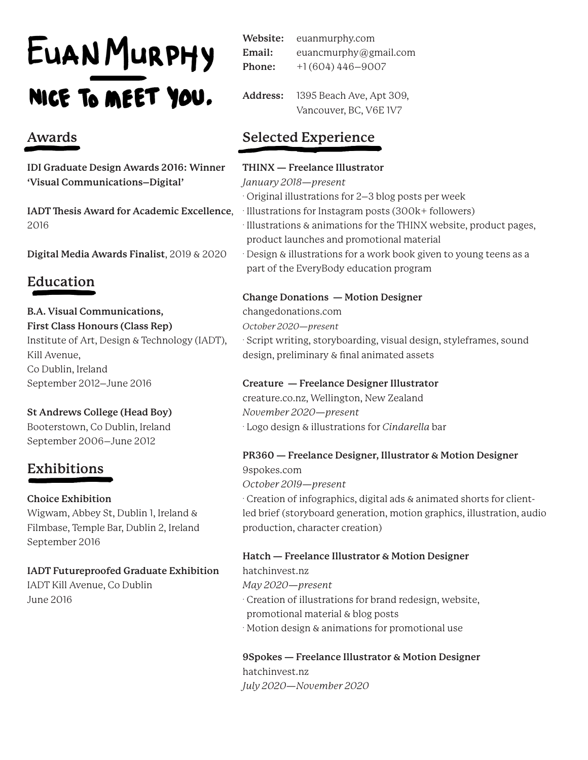# EUANMURPHY NICE TO MEET YOU.

# **Awards**

**IDI Graduate Design Awards 2016: Winner 'Visual Communications–Digital'**

2016

**Digital Media Awards Finalist**, 2019 & 2020

# **Education**

## **B.A. Visual Communications,**

**First Class Honours (Class Rep)** Institute of Art, Design & Technology (IADT), Kill Avenue, Co Dublin, Ireland September 2012–June 2016

## **St Andrews College (Head Boy)**

Booterstown, Co Dublin, Ireland September 2006–June 2012

# **Exhibitions**

## **Choice Exhibition**

Wigwam, Abbey St, Dublin 1, Ireland & Filmbase, Temple Bar, Dublin 2, Ireland September 2016

## **IADT Futureproofed Graduate Exhibition**

IADT Kill Avenue, Co Dublin June 2016

euanmurphy.com euancmurphy@gmail.com +1 (604) 446–9007 **Website: Email: Phone:**

1395 Beach Ave, Apt 309, Vancouver, BC, V6E 1V7 **Address:**

# **Selected Experience**

## **THINX — Freelance Illustrator**

*January 2018—present*

. Original illustrations for 2–3 blog posts per week

**IADT Thesis Award for Academic Excellence**, . Illustrations for Instagram posts (300k+ followers)

. Illustrations & animations for the THINX website, product pages, . product launches and promotional material

. Design & illustrations for a work book given to young teens as a . part of the EveryBody education program

## **Change Donations — Motion Designer**

changedonations.com *October 2020—present* . Script writing, storyboarding, visual design, styleframes, sound design, preliminary & final animated assets

#### **Creature — Freelance Designer Illustrator** creature.co.nz, Wellington, New Zealand

*November 2020—present* . Logo design & illustrations for *Cindarella* bar

# **PR360 — Freelance Designer, Illustrator & Motion Designer**

9spokes.com *October 2019—present*

. Creation of infographics, digital ads & animated shorts for clientled brief (storyboard generation, motion graphics, illustration, audio production, character creation)

## **Hatch — Freelance Illustrator & Motion Designer**

hatchinvest.nz *May 2020—present* . Creation of illustrations for brand redesign, website, . promotional material & blog posts . Motion design & animations for promotional use

## **9Spokes — Freelance Illustrator & Motion Designer** hatchinvest.nz *July 2020—November 2020*